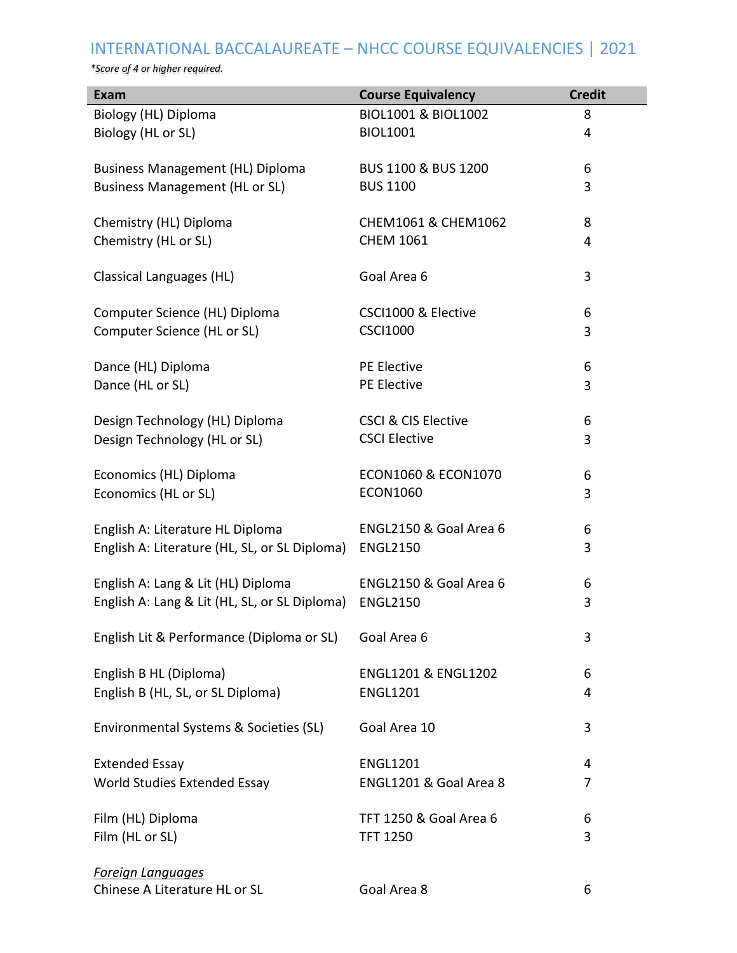## INTERNATIONAL BACCALAUREATE – NHCC COURSE EQUIVALENCIES | 2021

*\*Score of 4 or higher required.*

| <b>Exam</b>                                               | <b>Course Equivalency</b>         | <b>Credit</b> |
|-----------------------------------------------------------|-----------------------------------|---------------|
| Biology (HL) Diploma                                      | <b>BIOL1001 &amp; BIOL1002</b>    | 8             |
| Biology (HL or SL)                                        | <b>BIOL1001</b>                   | 4             |
|                                                           |                                   |               |
| Business Management (HL) Diploma                          | <b>BUS 1100 &amp; BUS 1200</b>    | 6             |
| <b>Business Management (HL or SL)</b>                     | <b>BUS 1100</b>                   | 3             |
| Chemistry (HL) Diploma                                    | CHEM1061 & CHEM1062               | 8             |
| Chemistry (HL or SL)                                      | <b>CHEM 1061</b>                  | 4             |
|                                                           |                                   |               |
| Classical Languages (HL)                                  | Goal Area 6                       | 3             |
|                                                           |                                   |               |
| Computer Science (HL) Diploma                             | CSCI1000 & Elective               | 6             |
| Computer Science (HL or SL)                               | <b>CSCI1000</b>                   | 3             |
|                                                           | PE Elective                       |               |
| Dance (HL) Diploma<br>Dance (HL or SL)                    | PE Elective                       | 6<br>3        |
|                                                           |                                   |               |
| Design Technology (HL) Diploma                            | <b>CSCI &amp; CIS Elective</b>    | 6             |
| Design Technology (HL or SL)                              | <b>CSCI Elective</b>              | 3             |
|                                                           |                                   |               |
| Economics (HL) Diploma                                    | <b>ECON1060 &amp; ECON1070</b>    | 6             |
| Economics (HL or SL)                                      | <b>ECON1060</b>                   | 3             |
|                                                           |                                   |               |
| English A: Literature HL Diploma                          | ENGL2150 & Goal Area 6            | 6             |
| English A: Literature (HL, SL, or SL Diploma)             | <b>ENGL2150</b>                   | 3             |
| English A: Lang & Lit (HL) Diploma                        | ENGL2150 & Goal Area 6            | 6             |
| English A: Lang & Lit (HL, SL, or SL Diploma)             | <b>ENGL2150</b>                   | 3             |
|                                                           |                                   |               |
| English Lit & Performance (Diploma or SL)                 | Goal Area 6                       | 3             |
|                                                           |                                   |               |
| English B HL (Diploma)                                    | <b>ENGL1201 &amp; ENGL1202</b>    | 6             |
| English B (HL, SL, or SL Diploma)                         | <b>ENGL1201</b>                   | 4             |
| Environmental Systems & Societies (SL)                    | Goal Area 10                      | 3             |
|                                                           |                                   |               |
| <b>Extended Essay</b>                                     | <b>ENGL1201</b>                   | 4             |
| World Studies Extended Essay                              | ENGL1201 & Goal Area 8            | 7             |
|                                                           |                                   |               |
| Film (HL) Diploma                                         | <b>TFT 1250 &amp; Goal Area 6</b> | 6             |
| Film (HL or SL)                                           | <b>TFT 1250</b>                   | 3             |
|                                                           |                                   |               |
| <b>Foreign Languages</b><br>Chinese A Literature HL or SL | Goal Area 8                       | 6             |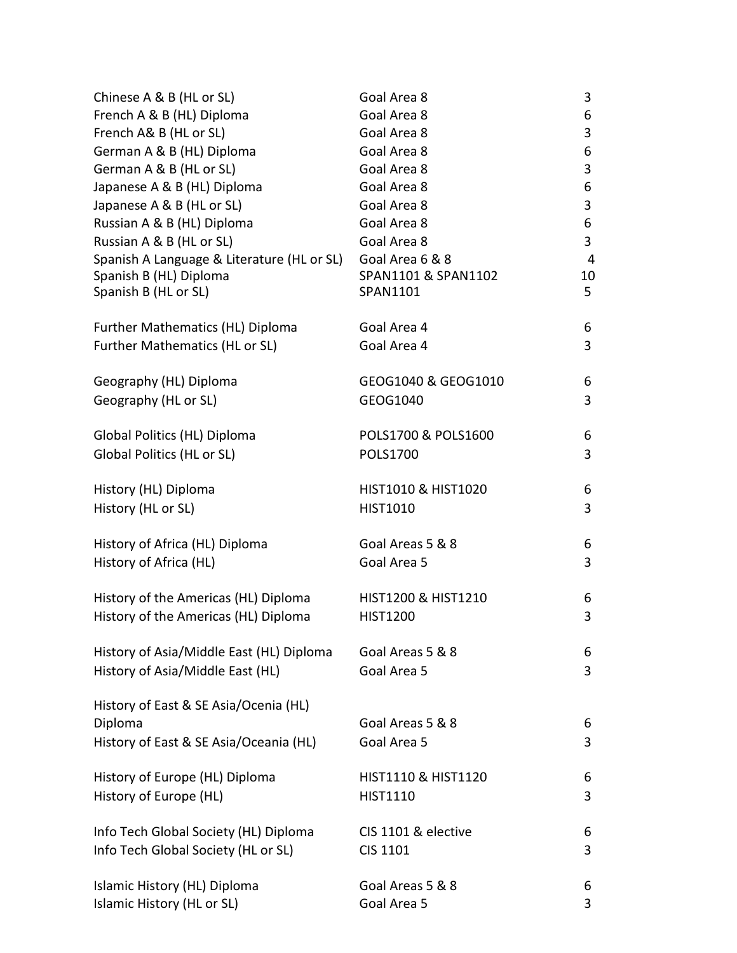| Chinese A & B (HL or SL)                   | Goal Area 8                    | 3  |
|--------------------------------------------|--------------------------------|----|
| French A & B (HL) Diploma                  | Goal Area 8                    | 6  |
| French A& B (HL or SL)                     | Goal Area 8                    | 3  |
| German A & B (HL) Diploma                  | Goal Area 8                    | 6  |
| German A & B (HL or SL)                    | Goal Area 8                    | 3  |
| Japanese A & B (HL) Diploma                | Goal Area 8                    | 6  |
| Japanese A & B (HL or SL)                  | Goal Area 8                    | 3  |
| Russian A & B (HL) Diploma                 | Goal Area 8                    | 6  |
| Russian A & B (HL or SL)                   | Goal Area 8                    | 3  |
| Spanish A Language & Literature (HL or SL) | Goal Area 6 & 8                | 4  |
| Spanish B (HL) Diploma                     | SPAN1101 & SPAN1102            | 10 |
| Spanish B (HL or SL)                       | SPAN1101                       | 5  |
| Further Mathematics (HL) Diploma           | Goal Area 4                    | 6  |
| Further Mathematics (HL or SL)             | Goal Area 4                    | 3  |
| Geography (HL) Diploma                     | GEOG1040 & GEOG1010            | 6  |
| Geography (HL or SL)                       | GEOG1040                       | 3  |
| Global Politics (HL) Diploma               | POLS1700 & POLS1600            | 6  |
| Global Politics (HL or SL)                 | POLS1700                       | 3  |
| History (HL) Diploma                       | <b>HIST1010 &amp; HIST1020</b> | 6  |
| History (HL or SL)                         | HIST1010                       | 3  |
| History of Africa (HL) Diploma             | Goal Areas 5 & 8               | 6  |
| History of Africa (HL)                     | Goal Area 5                    | 3  |
| History of the Americas (HL) Diploma       | HIST1200 & HIST1210            | 6  |
| History of the Americas (HL) Diploma       | <b>HIST1200</b>                | 3  |
| History of Asia/Middle East (HL) Diploma   | Goal Areas 5 & 8               | 6  |
| History of Asia/Middle East (HL)           | Goal Area 5                    | 3  |
| History of East & SE Asia/Ocenia (HL)      |                                |    |
| Diploma                                    | Goal Areas 5 & 8               | 6  |
| History of East & SE Asia/Oceania (HL)     | Goal Area 5                    | 3  |
| History of Europe (HL) Diploma             | <b>HIST1110 &amp; HIST1120</b> | 6  |
| History of Europe (HL)                     | <b>HIST1110</b>                | 3  |
| Info Tech Global Society (HL) Diploma      | CIS 1101 & elective            | 6  |
| Info Tech Global Society (HL or SL)        | CIS 1101                       | 3  |
| Islamic History (HL) Diploma               | Goal Areas 5 & 8               | 6  |
| Islamic History (HL or SL)                 | Goal Area 5                    | 3  |